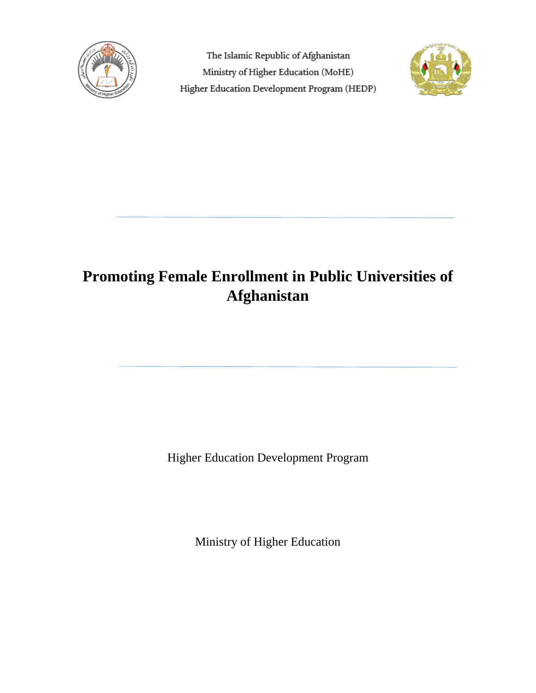

The Islamic Republic of Afghanistan Ministry of Higher Education (MoHE) Higher Education Development Program (HEDP)



# **Promoting Female Enrollment in Public Universities of Afghanistan**

Higher Education Development Program

Ministry of Higher Education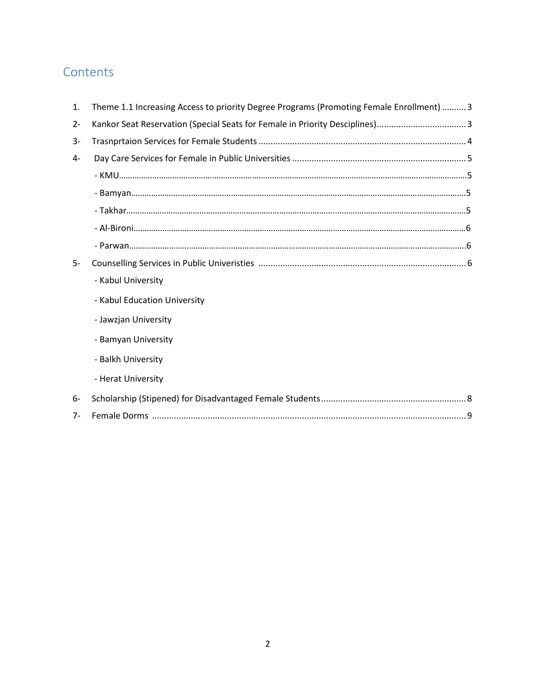# **Contents**

| 1.    | Theme 1.1 Increasing Access to priority Degree Programs (Promoting Female Enrollment)  3 |
|-------|------------------------------------------------------------------------------------------|
| $2 -$ | Kankor Seat Reservation (Special Seats for Female in Priority Desciplines)3              |
| $3-$  |                                                                                          |
| 4-    |                                                                                          |
|       |                                                                                          |
|       |                                                                                          |
|       |                                                                                          |
|       |                                                                                          |
|       |                                                                                          |
| $5-$  |                                                                                          |
|       | - Kabul University                                                                       |
|       | - Kabul Education University                                                             |
|       | - Jawzjan University                                                                     |
|       | - Bamyan University                                                                      |
|       | - Balkh University                                                                       |
|       | - Herat University                                                                       |
| 6-    |                                                                                          |
| $7 -$ |                                                                                          |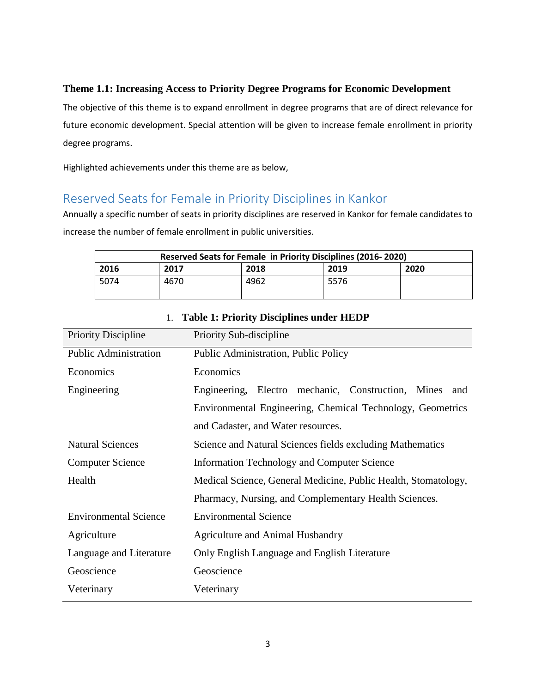### **Theme 1.1: Increasing Access to Priority Degree Programs for Economic Development**

The objective of this theme is to expand enrollment in degree programs that are of direct relevance for future economic development. Special attention will be given to increase female enrollment in priority degree programs.

Highlighted achievements under this theme are as below,

# Reserved Seats for Female in Priority Disciplines in Kankor

Annually a specific number of seats in priority disciplines are reserved in Kankor for female candidates to increase the number of female enrollment in public universities.

|      | Reserved Seats for Female in Priority Disciplines (2016-2020) |      |      |      |  |  |
|------|---------------------------------------------------------------|------|------|------|--|--|
| 2016 | 2017                                                          | 2018 | 2019 | 2020 |  |  |
| 5074 | 4670                                                          | 4962 | 5576 |      |  |  |

| <b>Priority Discipline</b>   | Priority Sub-discipline                                        |  |  |  |
|------------------------------|----------------------------------------------------------------|--|--|--|
| <b>Public Administration</b> | Public Administration, Public Policy                           |  |  |  |
| Economics                    | Economics                                                      |  |  |  |
| Engineering                  | Engineering, Electro mechanic, Construction, Mines<br>and      |  |  |  |
|                              | Environmental Engineering, Chemical Technology, Geometrics     |  |  |  |
|                              | and Cadaster, and Water resources.                             |  |  |  |
| <b>Natural Sciences</b>      | Science and Natural Sciences fields excluding Mathematics      |  |  |  |
| <b>Computer Science</b>      | <b>Information Technology and Computer Science</b>             |  |  |  |
| Health                       | Medical Science, General Medicine, Public Health, Stomatology, |  |  |  |
|                              | Pharmacy, Nursing, and Complementary Health Sciences.          |  |  |  |
| <b>Environmental Science</b> | <b>Environmental Science</b>                                   |  |  |  |
| Agriculture                  | <b>Agriculture and Animal Husbandry</b>                        |  |  |  |
| Language and Literature      | Only English Language and English Literature                   |  |  |  |
| Geoscience                   | Geoscience                                                     |  |  |  |
| Veterinary                   | Veterinary                                                     |  |  |  |
|                              |                                                                |  |  |  |

### 1. **Table 1: Priority Disciplines under HEDP**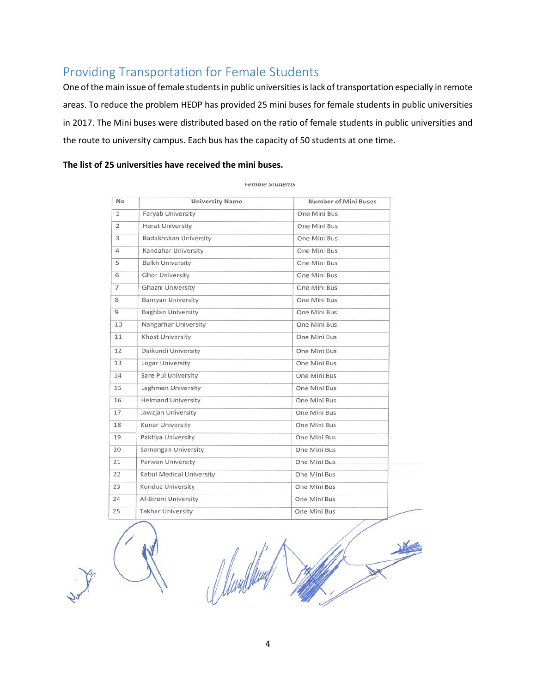# Providing Transportation for Female Students

One of the main issue of female students in public universities is lack of transportation especially in remote areas. To reduce the problem HEDP has provided 25 mini buses for female students in public universities in 2017. The Mini buses were distributed based on the ratio of female students in public universities and the route to university campus. Each bus has the capacity of 50 students at one time.

#### **The list of 25 universities have received the mini buses.**

| No             | <b>University Name</b>    | <b>Number of Mini Buses</b> |
|----------------|---------------------------|-----------------------------|
| $\mathbf{1}$   | Faryab University         | One Mini Bus                |
| $\overline{2}$ | <b>Herat University</b>   | One Mini Bus                |
| 3              | Badakhshan University     | One Mini Bus                |
| $\overline{4}$ | Kandahar University       | One Mini Bus                |
| 5              | <b>Balkh University</b>   | One Mini Bus                |
| 6              | <b>Ghor University</b>    | One Mini Bus                |
| $\overline{7}$ | Ghazni University         | One Mini Bus                |
| 8              | <b>Bamyan University</b>  | One Mini Bus                |
| $\overline{9}$ | <b>Baghlan University</b> | One Mini Bus                |
| 10             | Nangarhar University      | One Mini Bus                |
| 11             | <b>Khost University</b>   | One Mini Bus                |
| 12             | Daikundi University       | One Mini Bus                |
| 13             | Logar University          | One Mini Bus                |
| 14             | Sare Pul University       | One Mini Bus                |
| 15             | Laghman University        | One Mini Bus                |
| 16             | <b>Helmand University</b> | One Mini Bus                |
| 17             | Jawzjan University        | One Mini Bus                |
| 18             | <b>Kunar University</b>   | One Mini Bus                |
| 19             | Paktiya University        | One Mini Bus                |
| 20             | Samangan University       | One Mini Bus                |
| 21             | Parwan University         | One Mini Bus                |
| 22             | Kabul Medical University  | One Mini Bus                |
| 23             | Kunduz University         | One Mini Bus                |
| 24             | Al-Bironi University      | One Mini Bus                |
| 25             | <b>Takhar University</b>  | One Mini Bus                |

#### remale students

4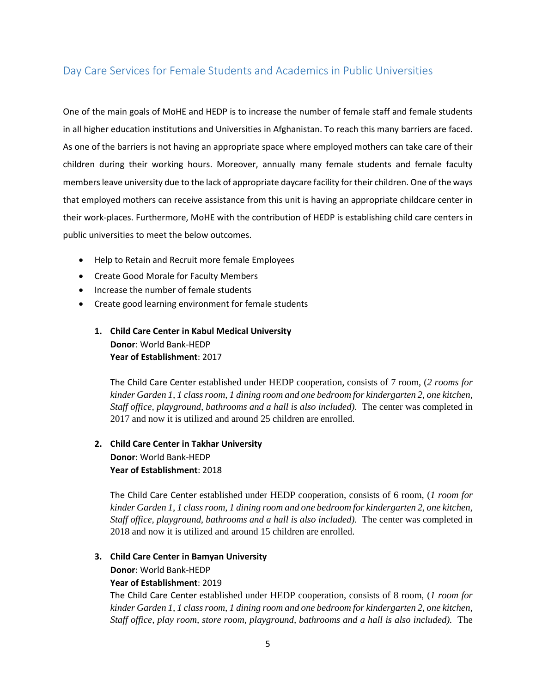### Day Care Services for Female Students and Academics in Public Universities

One of the main goals of MoHE and HEDP is to increase the number of female staff and female students in all higher education institutions and Universities in Afghanistan. To reach this many barriers are faced. As one of the barriers is not having an appropriate space where employed mothers can take care of their children during their working hours. Moreover, annually many female students and female faculty members leave university due to the lack of appropriate daycare facility for their children. One of the ways that employed mothers can receive assistance from this unit is having an appropriate childcare center in their work-places. Furthermore, MoHE with the contribution of HEDP is establishing child care centers in public universities to meet the below outcomes.

- Help to Retain and Recruit more female Employees
- Create Good Morale for Faculty Members
- Increase the number of female students
- Create good learning environment for female students
	- **1. Child Care Center in Kabul Medical University Donor**: World Bank-HEDP **Year of Establishment**: 2017

The Child Care Center established under HEDP cooperation, consists of 7 room, (*2 rooms for kinder Garden 1, 1 class room, 1 dining room and one bedroom for kindergarten 2, one kitchen, Staff office, playground, bathrooms and a hall is also included).* The center was completed in 2017 and now it is utilized and around 25 children are enrolled.

### **2. Child Care Center in Takhar University Donor**: World Bank-HEDP **Year of Establishment**: 2018

The Child Care Center established under HEDP cooperation, consists of 6 room, (*1 room for kinder Garden 1, 1 class room, 1 dining room and one bedroom for kindergarten 2, one kitchen, Staff office, playground, bathrooms and a hall is also included).* The center was completed in 2018 and now it is utilized and around 15 children are enrolled.

#### **3. Child Care Center in Bamyan University**

**Donor**: World Bank-HEDP

#### **Year of Establishment**: 2019

The Child Care Center established under HEDP cooperation, consists of 8 room, (*1 room for kinder Garden 1, 1 class room, 1 dining room and one bedroom for kindergarten 2, one kitchen, Staff office, play room, store room, playground, bathrooms and a hall is also included).* The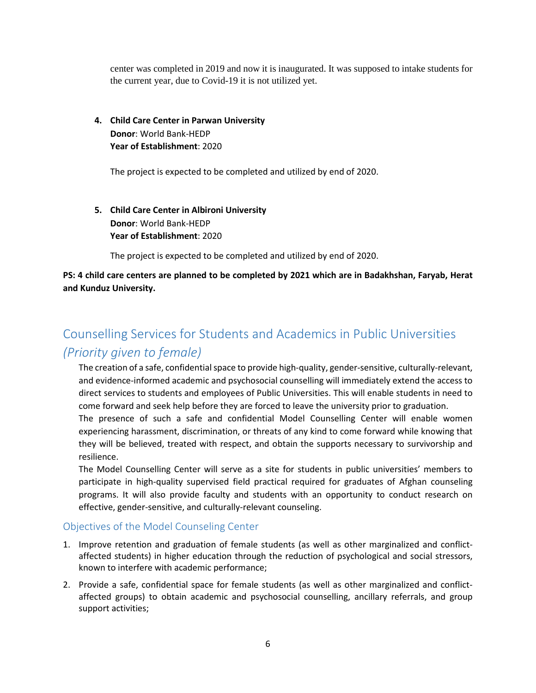center was completed in 2019 and now it is inaugurated. It was supposed to intake students for the current year, due to Covid-19 it is not utilized yet.

**4. Child Care Center in Parwan University Donor**: World Bank-HEDP **Year of Establishment**: 2020

The project is expected to be completed and utilized by end of 2020.

**5. Child Care Center in Albironi University Donor**: World Bank-HEDP **Year of Establishment**: 2020

The project is expected to be completed and utilized by end of 2020.

**PS: 4 child care centers are planned to be completed by 2021 which are in Badakhshan, Faryab, Herat and Kunduz University.** 

# Counselling Services for Students and Academics in Public Universities

### *(Priority given to female)*

The creation of a safe, confidential space to provide high-quality, gender-sensitive, culturally-relevant, and evidence-informed academic and psychosocial counselling will immediately extend the access to direct services to students and employees of Public Universities. This will enable students in need to come forward and seek help before they are forced to leave the university prior to graduation.

The presence of such a safe and confidential Model Counselling Center will enable women experiencing harassment, discrimination, or threats of any kind to come forward while knowing that they will be believed, treated with respect, and obtain the supports necessary to survivorship and resilience.

The Model Counselling Center will serve as a site for students in public universities' members to participate in high-quality supervised field practical required for graduates of Afghan counseling programs. It will also provide faculty and students with an opportunity to conduct research on effective, gender-sensitive, and culturally-relevant counseling.

#### Objectives of the Model Counseling Center

- 1. Improve retention and graduation of female students (as well as other marginalized and conflictaffected students) in higher education through the reduction of psychological and social stressors, known to interfere with academic performance;
- 2. Provide a safe, confidential space for female students (as well as other marginalized and conflictaffected groups) to obtain academic and psychosocial counselling, ancillary referrals, and group support activities;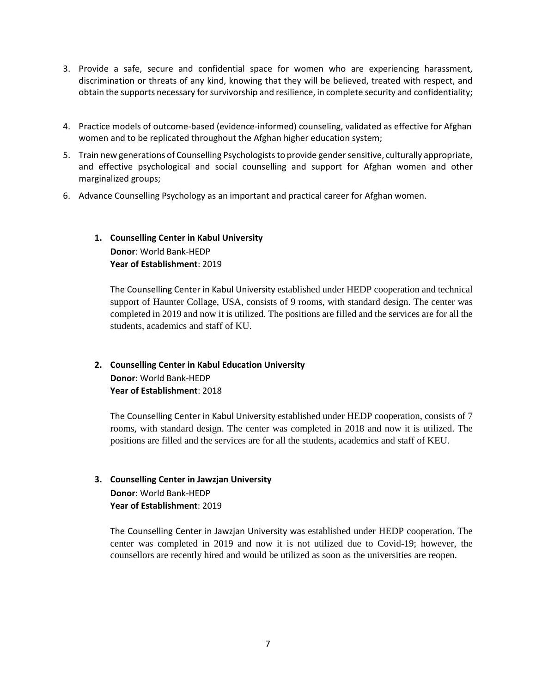- 3. Provide a safe, secure and confidential space for women who are experiencing harassment, discrimination or threats of any kind, knowing that they will be believed, treated with respect, and obtain the supports necessary for survivorship and resilience, in complete security and confidentiality;
- 4. Practice models of outcome-based (evidence-informed) counseling, validated as effective for Afghan women and to be replicated throughout the Afghan higher education system;
- 5. Train new generations of Counselling Psychologists to provide gender sensitive, culturally appropriate, and effective psychological and social counselling and support for Afghan women and other marginalized groups;
- 6. Advance Counselling Psychology as an important and practical career for Afghan women.

### **1. Counselling Center in Kabul University Donor**: World Bank-HEDP **Year of Establishment**: 2019

The Counselling Center in Kabul University established under HEDP cooperation and technical support of Haunter Collage, USA, consists of 9 rooms, with standard design. The center was completed in 2019 and now it is utilized. The positions are filled and the services are for all the students, academics and staff of KU.

### **2. Counselling Center in Kabul Education University Donor**: World Bank-HEDP **Year of Establishment**: 2018

The Counselling Center in Kabul University established under HEDP cooperation, consists of 7 rooms, with standard design. The center was completed in 2018 and now it is utilized. The positions are filled and the services are for all the students, academics and staff of KEU.

#### **3. Counselling Center in Jawzjan University Donor**: World Bank-HEDP

**Year of Establishment**: 2019

The Counselling Center in Jawzjan University was established under HEDP cooperation. The center was completed in 2019 and now it is not utilized due to Covid-19; however, the counsellors are recently hired and would be utilized as soon as the universities are reopen.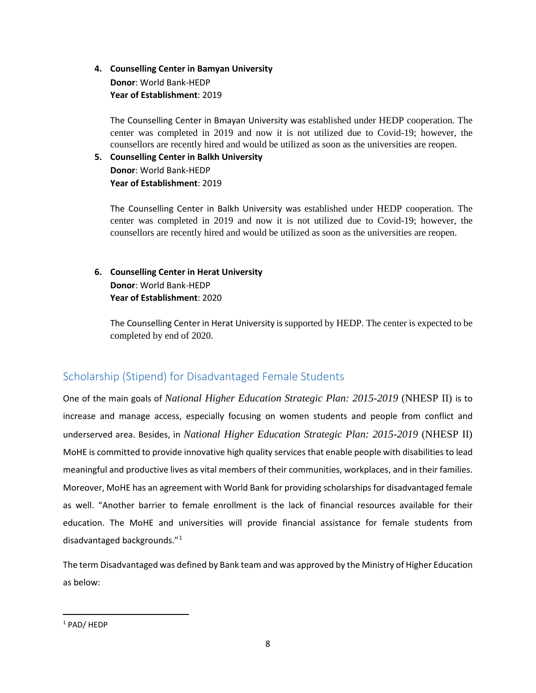### **4. Counselling Center in Bamyan University Donor**: World Bank-HEDP **Year of Establishment**: 2019

The Counselling Center in Bmayan University was established under HEDP cooperation. The center was completed in 2019 and now it is not utilized due to Covid-19; however, the counsellors are recently hired and would be utilized as soon as the universities are reopen.

#### **5. Counselling Center in Balkh University Donor**: World Bank-HEDP **Year of Establishment**: 2019

The Counselling Center in Balkh University was established under HEDP cooperation. The center was completed in 2019 and now it is not utilized due to Covid-19; however, the counsellors are recently hired and would be utilized as soon as the universities are reopen.

### **6. Counselling Center in Herat University Donor**: World Bank-HEDP **Year of Establishment**: 2020

The Counselling Center in Herat University is supported by HEDP. The center is expected to be completed by end of 2020.

# Scholarship (Stipend) for Disadvantaged Female Students

One of the main goals of *National Higher Education Strategic Plan: 2015-2019* (NHESP II) is to increase and manage access, especially focusing on women students and people from conflict and underserved area. Besides, in *National Higher Education Strategic Plan: 2015-2019* (NHESP II) MoHE is committed to provide innovative high quality services that enable people with disabilities to lead meaningful and productive lives as vital members of their communities, workplaces, and in their families. Moreover, MoHE has an agreement with World Bank for providing scholarships for disadvantaged female as well. "Another barrier to female enrollment is the lack of financial resources available for their education. The MoHE and universities will provide financial assistance for female students from disadvantaged backgrounds."[1](#page-7-0)

The term Disadvantaged was defined by Bank team and was approved by the Ministry of Higher Education as below:

l

<span id="page-7-0"></span><sup>1</sup> PAD/ HEDP